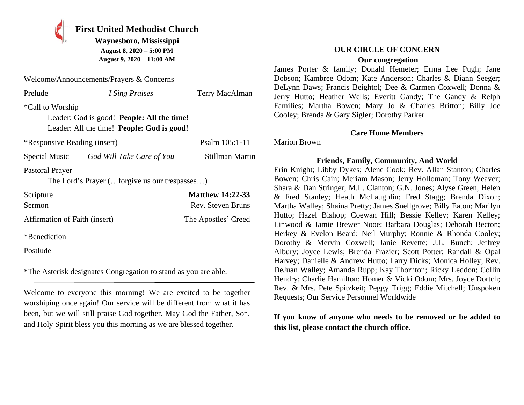**First United Methodist Church Waynesboro, Mississippi August 8, 2020 – 5:00 PM**

**August 9, 2020 – 11:00 AM**

| Welcome/Announcements/Prayers & Concerns                                                                     |                           |                 |  |
|--------------------------------------------------------------------------------------------------------------|---------------------------|-----------------|--|
| Prelude                                                                                                      | I Sing Praises            | Terry MacAlman  |  |
| *Call to Worship<br>Leader: God is good! People: All the time!<br>Leader: All the time! People: God is good! |                           |                 |  |
| *Responsive Reading (insert)                                                                                 |                           | Psalm 105:1-11  |  |
| Special Music                                                                                                | God Will Take Care of You | Stillman Martin |  |

Pastoral Prayer

The Lord's Prayer (…forgive us our trespasses…)

| Scripture                     | <b>Matthew 14:22-33</b> |
|-------------------------------|-------------------------|
| Sermon                        | Rev. Steven Bruns       |
| Affirmation of Faith (insert) | The Apostles' Creed     |
| *Benediction                  |                         |

Postlude

**\***The Asterisk designates Congregation to stand as you are able.

Welcome to everyone this morning! We are excited to be together worshiping once again! Our service will be different from what it has been, but we will still praise God together. May God the Father, Son, and Holy Spirit bless you this morning as we are blessed together.

### **OUR CIRCLE OF CONCERN**

#### **Our congregation**

James Porter & family; Donald Hemeter; Erma Lee Pugh; Jane Dobson; Kambree Odom; Kate Anderson; Charles & Diann Seeger; DeLynn Daws; Francis Beightol; Dee & Carmen Coxwell; Donna & Jerry Hutto; Heather Wells; Everitt Gandy; The Gandy & Relph Families; Martha Bowen; Mary Jo & Charles Britton; Billy Joe Cooley; Brenda & Gary Sigler; Dorothy Parker

#### **Care Home Members**

Marion Brown

### **Friends, Family, Community, And World**

Erin Knight; Libby Dykes; Alene Cook; Rev. Allan Stanton; Charles Bowen; Chris Cain; Meriam Mason; Jerry Holloman; Tony Weaver; Shara & Dan Stringer; M.L. Clanton; G.N. Jones; Alyse Green, Helen & Fred Stanley; Heath McLaughlin; Fred Stagg; Brenda Dixon; Martha Walley; Shaina Pretty; James Snellgrove; Billy Eaton; Marilyn Hutto; Hazel Bishop; Coewan Hill; Bessie Kelley; Karen Kelley; Linwood & Jamie Brewer Nooe; Barbara Douglas; Deborah Becton; Herkey & Evelon Beard; Neil Murphy; Ronnie & Rhonda Cooley; Dorothy & Mervin Coxwell; Janie Revette; J.L. Bunch; Jeffrey Albury; Joyce Lewis; Brenda Frazier; Scott Potter; Randall & Opal Harvey; Danielle & Andrew Hutto; Larry Dicks; Monica Holley; Rev. DeJuan Walley; Amanda Rupp; Kay Thornton; Ricky Leddon; Collin Hendry; Charlie Hamilton; Homer & Vicki Odom; Mrs. Joyce Dortch; Rev. & Mrs. Pete Spitzkeit; Peggy Trigg; Eddie Mitchell; Unspoken Requests; Our Service Personnel Worldwide

**If you know of anyone who needs to be removed or be added to this list, please contact the church office.**